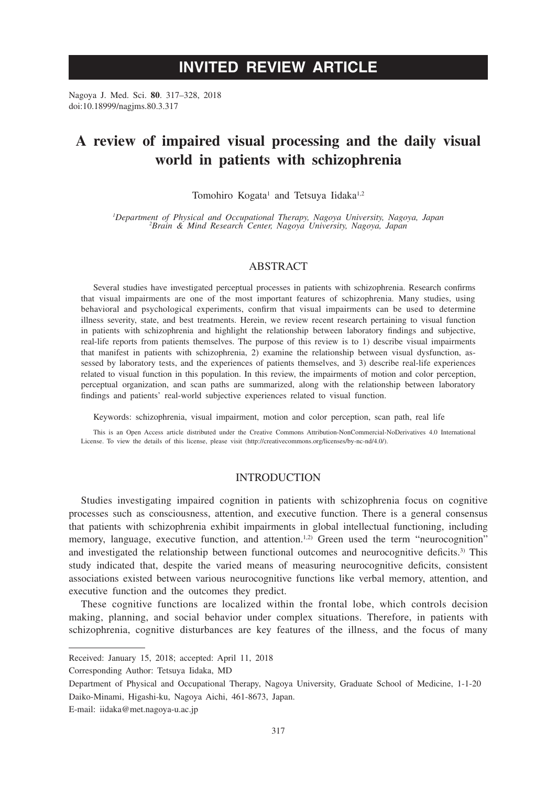# **INVITED REVIEW ARTICLE**

Nagoya J. Med. Sci. **80**. 317–328, 2018 doi:10.18999/nagjms.80.3.317

# **A review of impaired visual processing and the daily visual world in patients with schizophrenia**

Tomohiro Kogata<sup>1</sup> and Tetsuya Iidaka<sup>1,2</sup>

*1 Department of Physical and Occupational Therapy, Nagoya University, Nagoya, Japan <sup>2</sup> Brain & Mind Research Center, Nagoya University, Nagoya, Japan*

#### ABSTRACT

Several studies have investigated perceptual processes in patients with schizophrenia. Research confirms that visual impairments are one of the most important features of schizophrenia. Many studies, using behavioral and psychological experiments, confirm that visual impairments can be used to determine illness severity, state, and best treatments. Herein, we review recent research pertaining to visual function in patients with schizophrenia and highlight the relationship between laboratory findings and subjective, real-life reports from patients themselves. The purpose of this review is to 1) describe visual impairments that manifest in patients with schizophrenia, 2) examine the relationship between visual dysfunction, assessed by laboratory tests, and the experiences of patients themselves, and 3) describe real-life experiences related to visual function in this population. In this review, the impairments of motion and color perception, perceptual organization, and scan paths are summarized, along with the relationship between laboratory findings and patients' real-world subjective experiences related to visual function.

Keywords: schizophrenia, visual impairment, motion and color perception, scan path, real life

This is an Open Access article distributed under the Creative Commons Attribution-NonCommercial-NoDerivatives 4.0 International License. To view the details of this license, please visit (http://creativecommons.org/licenses/by-nc-nd/4.0/).

# **INTRODUCTION**

Studies investigating impaired cognition in patients with schizophrenia focus on cognitive processes such as consciousness, attention, and executive function. There is a general consensus that patients with schizophrenia exhibit impairments in global intellectual functioning, including memory, language, executive function, and attention.<sup>1,2)</sup> Green used the term "neurocognition" and investigated the relationship between functional outcomes and neurocognitive deficits.<sup>3)</sup> This study indicated that, despite the varied means of measuring neurocognitive deficits, consistent associations existed between various neurocognitive functions like verbal memory, attention, and executive function and the outcomes they predict.

These cognitive functions are localized within the frontal lobe, which controls decision making, planning, and social behavior under complex situations. Therefore, in patients with schizophrenia, cognitive disturbances are key features of the illness, and the focus of many

Received: January 15, 2018; accepted: April 11, 2018

Corresponding Author: Tetsuya Iidaka, MD

Department of Physical and Occupational Therapy, Nagoya University, Graduate School of Medicine, 1-1-20 Daiko-Minami, Higashi-ku, Nagoya Aichi, 461-8673, Japan.

E-mail: iidaka@met.nagoya-u.ac.jp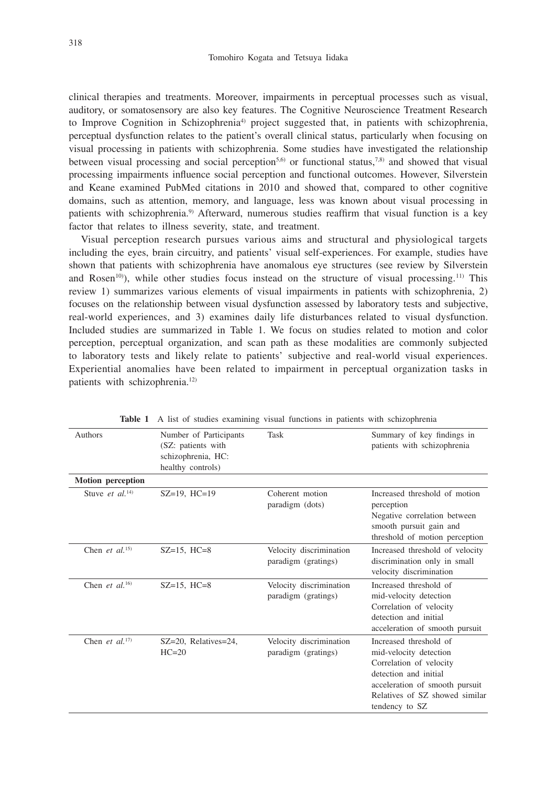clinical therapies and treatments. Moreover, impairments in perceptual processes such as visual, auditory, or somatosensory are also key features. The Cognitive Neuroscience Treatment Research to Improve Cognition in Schizophrenia<sup>4)</sup> project suggested that, in patients with schizophrenia, perceptual dysfunction relates to the patient's overall clinical status, particularly when focusing on visual processing in patients with schizophrenia. Some studies have investigated the relationship between visual processing and social perception<sup>5,6)</sup> or functional status,<sup>7,8)</sup> and showed that visual processing impairments influence social perception and functional outcomes. However, Silverstein and Keane examined PubMed citations in 2010 and showed that, compared to other cognitive domains, such as attention, memory, and language, less was known about visual processing in patients with schizophrenia.9) Afterward, numerous studies reaffirm that visual function is a key factor that relates to illness severity, state, and treatment.

Visual perception research pursues various aims and structural and physiological targets including the eyes, brain circuitry, and patients' visual self-experiences. For example, studies have shown that patients with schizophrenia have anomalous eye structures (see review by Silverstein and Rosen<sup>10)</sup>), while other studies focus instead on the structure of visual processing.<sup>11)</sup> This review 1) summarizes various elements of visual impairments in patients with schizophrenia, 2) focuses on the relationship between visual dysfunction assessed by laboratory tests and subjective, real-world experiences, and 3) examines daily life disturbances related to visual dysfunction. Included studies are summarized in Table 1. We focus on studies related to motion and color perception, perceptual organization, and scan path as these modalities are commonly subjected to laboratory tests and likely relate to patients' subjective and real-world visual experiences. Experiential anomalies have been related to impairment in perceptual organization tasks in patients with schizophrenia.<sup>12)</sup>

| Authors                     | Number of Participants<br>(SZ: patients with<br>schizophrenia, HC:<br>healthy controls) | Task                                           | Summary of key findings in<br>patients with schizophrenia                                                                                                                                  |
|-----------------------------|-----------------------------------------------------------------------------------------|------------------------------------------------|--------------------------------------------------------------------------------------------------------------------------------------------------------------------------------------------|
| <b>Motion perception</b>    |                                                                                         |                                                |                                                                                                                                                                                            |
| Stuve et al. <sup>14)</sup> | $SZ=19$ . $HC=19$                                                                       | Coherent motion<br>paradigm (dots)             | Increased threshold of motion<br>perception<br>Negative correlation between<br>smooth pursuit gain and<br>threshold of motion perception                                                   |
| Chen et $al$ <sup>15)</sup> | $SZ = 15$ , $HC = 8$                                                                    | Velocity discrimination<br>paradigm (gratings) | Increased threshold of velocity<br>discrimination only in small<br>velocity discrimination                                                                                                 |
| Chen et al. <sup>16)</sup>  | $SZ = 15$ , $HC = 8$                                                                    | Velocity discrimination<br>paradigm (gratings) | Increased threshold of<br>mid-velocity detection<br>Correlation of velocity<br>detection and initial<br>acceleration of smooth pursuit                                                     |
| Chen et $al^{17}$           | SZ=20, Relatives=24,<br>$HC=20$                                                         | Velocity discrimination<br>paradigm (gratings) | Increased threshold of<br>mid-velocity detection<br>Correlation of velocity<br>detection and initial<br>acceleration of smooth pursuit<br>Relatives of SZ showed similar<br>tendency to SZ |

**Table 1** A list of studies examining visual functions in patients with schizophrenia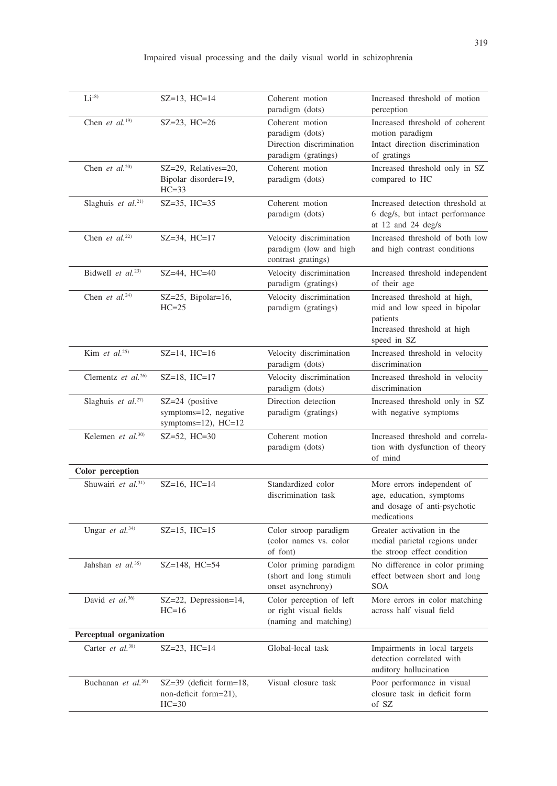# Impaired visual processing and the daily visual world in schizophrenia

| Li <sup>18</sup>               | $SZ=13$ , $HC=14$                                                   | Coherent motion<br>paradigm (dots)                                                    | Increased threshold of motion<br>perception                                                                            |
|--------------------------------|---------------------------------------------------------------------|---------------------------------------------------------------------------------------|------------------------------------------------------------------------------------------------------------------------|
| Chen et $al.^{19}$             | $SZ = 23$ , $HC = 26$                                               | Coherent motion<br>paradigm (dots)<br>Direction discrimination<br>paradigm (gratings) | Increased threshold of coherent<br>motion paradigm<br>Intact direction discrimination<br>of gratings                   |
| Chen et $al^{20}$              | SZ=29, Relatives=20,<br>Bipolar disorder=19,<br>$HC=33$             | Coherent motion<br>paradigm (dots)                                                    | Increased threshold only in SZ<br>compared to HC                                                                       |
| Slaghuis et al. <sup>21)</sup> | $SZ = 35$ , $HC = 35$                                               | Coherent motion<br>paradigm (dots)                                                    | Increased detection threshold at<br>6 deg/s, but intact performance<br>at 12 and 24 deg/s                              |
| Chen et $al.^{22)}$            | $SZ = 34$ , $HC = 17$                                               | Velocity discrimination<br>paradigm (low and high<br>contrast gratings)               | Increased threshold of both low<br>and high contrast conditions                                                        |
| Bidwell et $al^{(23)}$ .       | $SZ = 44$ , $HC = 40$                                               | Velocity discrimination<br>paradigm (gratings)                                        | Increased threshold independent<br>of their age                                                                        |
| Chen et $al.^{24}$             | $SZ = 25$ , Bipolar=16,<br>$HC=25$                                  | Velocity discrimination<br>paradigm (gratings)                                        | Increased threshold at high,<br>mid and low speed in bipolar<br>patients<br>Increased threshold at high<br>speed in SZ |
| Kim et al. $25)$               | $SZ=14$ , $HC=16$                                                   | Velocity discrimination<br>paradigm (dots)                                            | Increased threshold in velocity<br>discrimination                                                                      |
| Clementz et $al^{26}$          | $SZ=18$ , $HC=17$                                                   | Velocity discrimination<br>paradigm (dots)                                            | Increased threshold in velocity<br>discrimination                                                                      |
| Slaghuis et al. <sup>27)</sup> | $SZ = 24$ (positive<br>symptoms=12, negative<br>symptoms=12), HC=12 | Direction detection<br>paradigm (gratings)                                            | Increased threshold only in SZ<br>with negative symptoms                                                               |
| Kelemen et al. <sup>30)</sup>  | $SZ = 52$ , $HC = 30$                                               | Coherent motion<br>paradigm (dots)                                                    | Increased threshold and correla-<br>tion with dysfunction of theory<br>of mind                                         |
| Color perception               |                                                                     |                                                                                       |                                                                                                                        |
| Shuwairi et al. <sup>31)</sup> | $SZ=16$ , $HC=14$                                                   | Standardized color<br>discrimination task                                             | More errors independent of<br>age, education, symptoms<br>and dosage of anti-psychotic<br>medications                  |
| Ungar et al. <sup>34)</sup>    | $SZ=15$ , $HC=15$                                                   | Color stroop paradigm<br>(color names vs. color<br>of font)                           | Greater activation in the<br>medial parietal regions under<br>the stroop effect condition                              |
| Jahshan et $al^{35)}$          | SZ=148, HC=54                                                       | Color priming paradigm<br>(short and long stimuli<br>onset asynchrony)                | No difference in color priming<br>effect between short and long<br>SOA                                                 |
| David et al. $36$              | SZ=22, Depression=14,<br>$HC=16$                                    | Color perception of left<br>or right visual fields<br>(naming and matching)           | More errors in color matching<br>across half visual field                                                              |
| Perceptual organization        |                                                                     |                                                                                       |                                                                                                                        |
| Carter et al. <sup>38)</sup>   | $SZ = 23$ , $HC = 14$                                               | Global-local task                                                                     | Impairments in local targets<br>detection correlated with<br>auditory hallucination                                    |
| Buchanan et al. <sup>39)</sup> | $SZ = 39$ (deficit form=18,<br>non-deficit form=21),<br>$HC=30$     | Visual closure task                                                                   | Poor performance in visual<br>closure task in deficit form<br>of $\,$                                                  |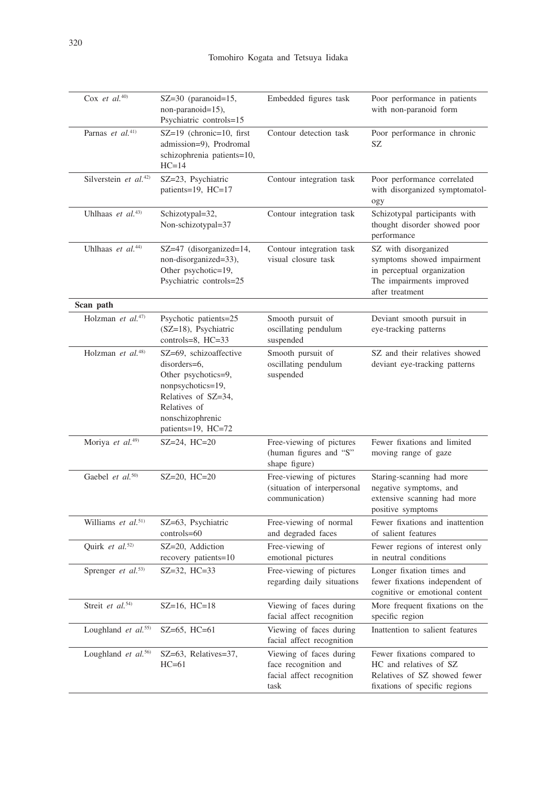| Cox et al. $40$                   | SZ=30 (paranoid=15,<br>non-paranoid=15),<br>Psychiatric controls=15                                                                                                 | Embedded figures task                                                                | Poor performance in patients<br>with non-paranoid form                                                                          |
|-----------------------------------|---------------------------------------------------------------------------------------------------------------------------------------------------------------------|--------------------------------------------------------------------------------------|---------------------------------------------------------------------------------------------------------------------------------|
| Parnas et $al^{(41)}$             | SZ=19 (chronic=10, first<br>admission=9), Prodromal<br>schizophrenia patients=10,<br>$HC=14$                                                                        | Contour detection task                                                               | Poor performance in chronic<br>SZ                                                                                               |
| Silverstein et al. <sup>42)</sup> | SZ=23, Psychiatric<br>patients=19, HC=17                                                                                                                            | Contour integration task                                                             | Poor performance correlated<br>with disorganized symptomatol-<br>ogy                                                            |
| Uhlhaas et al. <sup>43)</sup>     | Schizotypal=32,<br>Non-schizotypal=37                                                                                                                               | Contour integration task                                                             | Schizotypal participants with<br>thought disorder showed poor<br>performance                                                    |
| Uhlhaas et $al^{44}$              | SZ=47 (disorganized=14,<br>non-disorganized=33),<br>Other psychotic=19,<br>Psychiatric controls=25                                                                  | Contour integration task<br>visual closure task                                      | SZ with disorganized<br>symptoms showed impairment<br>in perceptual organization<br>The impairments improved<br>after treatment |
| Scan path                         |                                                                                                                                                                     |                                                                                      |                                                                                                                                 |
| Holzman et al. <sup>47)</sup>     | Psychotic patients=25<br>(SZ=18), Psychiatric<br>controls=8, HC=33                                                                                                  | Smooth pursuit of<br>oscillating pendulum<br>suspended                               | Deviant smooth pursuit in<br>eye-tracking patterns                                                                              |
| Holzman et al. <sup>48)</sup>     | SZ=69, schizoaffective<br>disorders=6,<br>Other psychotics=9,<br>nonpsychotics=19,<br>Relatives of SZ=34,<br>Relatives of<br>nonschizophrenic<br>patients=19, HC=72 | Smooth pursuit of<br>oscillating pendulum<br>suspended                               | SZ and their relatives showed<br>deviant eye-tracking patterns                                                                  |
| Moriya et al. <sup>49)</sup>      | $SZ = 24$ , $HC = 20$                                                                                                                                               | Free-viewing of pictures<br>(human figures and "S"<br>shape figure)                  | Fewer fixations and limited<br>moving range of gaze                                                                             |
| Gaebel et al. <sup>50)</sup>      | $SZ = 20$ , $HC = 20$                                                                                                                                               | Free-viewing of pictures<br>(situation of interpersonal<br>communication)            | Staring-scanning had more<br>negative symptoms, and<br>extensive scanning had more<br>positive symptoms                         |
| Williams et al. <sup>51)</sup>    | SZ=63, Psychiatric<br>controls=60                                                                                                                                   | Free-viewing of normal<br>and degraded faces                                         | Fewer fixations and inattention<br>of salient features                                                                          |
| Quirk et al. <sup>52)</sup>       | SZ=20, Addiction<br>recovery patients=10                                                                                                                            | Free-viewing of<br>emotional pictures                                                | Fewer regions of interest only<br>in neutral conditions                                                                         |
| Sprenger et al. <sup>53)</sup>    | SZ=32, HC=33                                                                                                                                                        | Free-viewing of pictures<br>regarding daily situations                               | Longer fixation times and<br>fewer fixations independent of<br>cognitive or emotional content                                   |
| Streit et al. <sup>54)</sup>      | $SZ=16$ , $HC=18$                                                                                                                                                   | Viewing of faces during<br>facial affect recognition                                 | More frequent fixations on the<br>specific region                                                                               |
| Loughland et al. <sup>55)</sup>   | SZ=65, HC=61                                                                                                                                                        | Viewing of faces during<br>facial affect recognition                                 | Inattention to salient features                                                                                                 |
| Loughland et al. <sup>56)</sup>   | SZ=63, Relatives=37,<br>$HC=61$                                                                                                                                     | Viewing of faces during<br>face recognition and<br>facial affect recognition<br>task | Fewer fixations compared to<br>HC and relatives of SZ<br>Relatives of SZ showed fewer<br>fixations of specific regions          |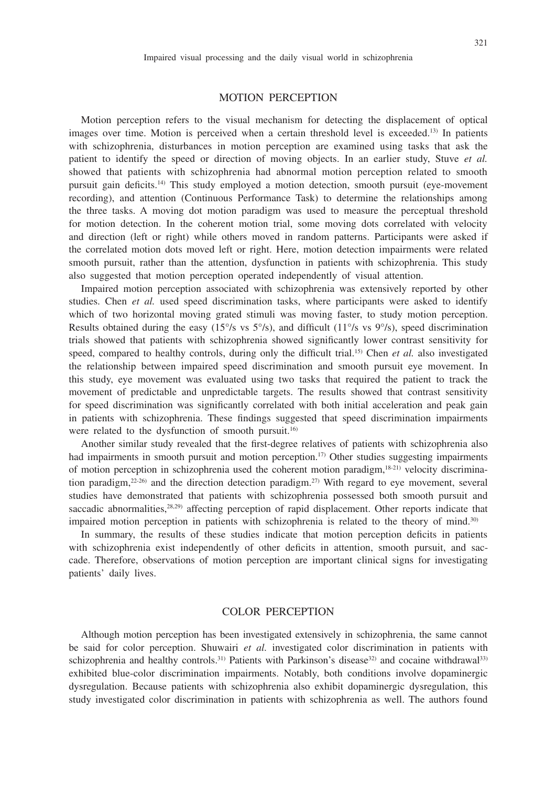#### MOTION PERCEPTION

Motion perception refers to the visual mechanism for detecting the displacement of optical images over time. Motion is perceived when a certain threshold level is exceeded.<sup>13)</sup> In patients with schizophrenia, disturbances in motion perception are examined using tasks that ask the patient to identify the speed or direction of moving objects. In an earlier study, Stuve *et al.* showed that patients with schizophrenia had abnormal motion perception related to smooth pursuit gain deficits.14) This study employed a motion detection, smooth pursuit (eye-movement recording), and attention (Continuous Performance Task) to determine the relationships among the three tasks. A moving dot motion paradigm was used to measure the perceptual threshold for motion detection. In the coherent motion trial, some moving dots correlated with velocity and direction (left or right) while others moved in random patterns. Participants were asked if the correlated motion dots moved left or right. Here, motion detection impairments were related smooth pursuit, rather than the attention, dysfunction in patients with schizophrenia. This study also suggested that motion perception operated independently of visual attention.

Impaired motion perception associated with schizophrenia was extensively reported by other studies. Chen *et al.* used speed discrimination tasks, where participants were asked to identify which of two horizontal moving grated stimuli was moving faster, to study motion perception. Results obtained during the easy  $(15\%$  vs  $5\%$ ), and difficult  $(11\%$  vs  $9\%$ ), speed discrimination trials showed that patients with schizophrenia showed significantly lower contrast sensitivity for speed, compared to healthy controls, during only the difficult trial.<sup>15)</sup> Chen *et al.* also investigated the relationship between impaired speed discrimination and smooth pursuit eye movement. In this study, eye movement was evaluated using two tasks that required the patient to track the movement of predictable and unpredictable targets. The results showed that contrast sensitivity for speed discrimination was significantly correlated with both initial acceleration and peak gain in patients with schizophrenia. These findings suggested that speed discrimination impairments were related to the dysfunction of smooth pursuit.<sup>16)</sup>

Another similar study revealed that the first-degree relatives of patients with schizophrenia also had impairments in smooth pursuit and motion perception.<sup>17)</sup> Other studies suggesting impairments of motion perception in schizophrenia used the coherent motion paradigm, $18-21$ ) velocity discrimination paradigm,<sup>22-26</sup>) and the direction detection paradigm.<sup>27)</sup> With regard to eye movement, several studies have demonstrated that patients with schizophrenia possessed both smooth pursuit and saccadic abnormalities, $28,29$ ) affecting perception of rapid displacement. Other reports indicate that impaired motion perception in patients with schizophrenia is related to the theory of mind.<sup>30)</sup>

In summary, the results of these studies indicate that motion perception deficits in patients with schizophrenia exist independently of other deficits in attention, smooth pursuit, and saccade. Therefore, observations of motion perception are important clinical signs for investigating patients' daily lives.

#### COLOR PERCEPTION

Although motion perception has been investigated extensively in schizophrenia, the same cannot be said for color perception. Shuwairi *et al.* investigated color discrimination in patients with schizophrenia and healthy controls.<sup>31)</sup> Patients with Parkinson's disease<sup>32)</sup> and cocaine withdrawal<sup>33)</sup> exhibited blue-color discrimination impairments. Notably, both conditions involve dopaminergic dysregulation. Because patients with schizophrenia also exhibit dopaminergic dysregulation, this study investigated color discrimination in patients with schizophrenia as well. The authors found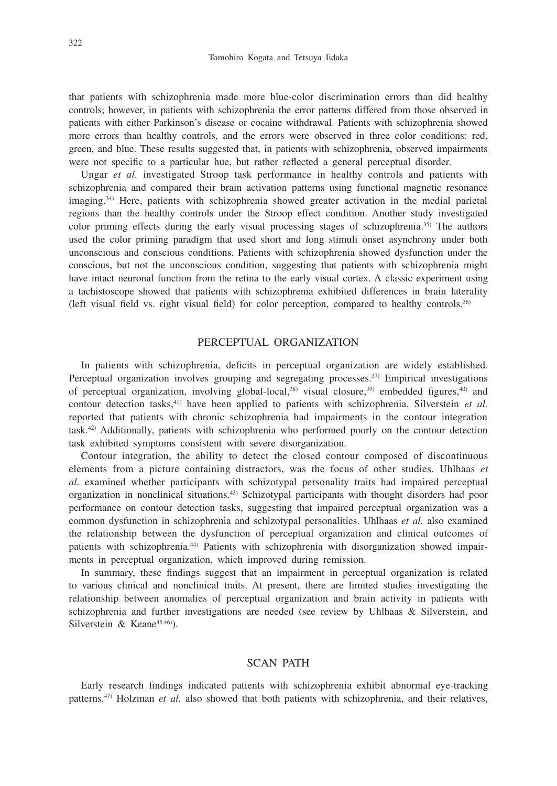that patients with schizophrenia made more blue-color discrimination errors than did healthy controls; however, in patients with schizophrenia the error patterns differed from those observed in patients with either Parkinson's disease or cocaine withdrawal. Patients with schizophrenia showed more errors than healthy controls, and the errors were observed in three color conditions: red, green, and blue. These results suggested that, in patients with schizophrenia, observed impairments were not specific to a particular hue, but rather reflected a general perceptual disorder.

Ungar *et al.* investigated Stroop task performance in healthy controls and patients with schizophrenia and compared their brain activation patterns using functional magnetic resonance imaging.34) Here, patients with schizophrenia showed greater activation in the medial parietal regions than the healthy controls under the Stroop effect condition. Another study investigated color priming effects during the early visual processing stages of schizophrenia.35) The authors used the color priming paradigm that used short and long stimuli onset asynchrony under both unconscious and conscious conditions. Patients with schizophrenia showed dysfunction under the conscious, but not the unconscious condition, suggesting that patients with schizophrenia might have intact neuronal function from the retina to the early visual cortex. A classic experiment using a tachistoscope showed that patients with schizophrenia exhibited differences in brain laterality (left visual field vs. right visual field) for color perception, compared to healthy controls.36)

# PERCEPTUAL ORGANIZATION

In patients with schizophrenia, deficits in perceptual organization are widely established. Perceptual organization involves grouping and segregating processes.<sup>37)</sup> Empirical investigations of perceptual organization, involving global-local, $38$  visual closure, $39$  embedded figures, $40$  and contour detection tasks,41) have been applied to patients with schizophrenia. Silverstein *et al.* reported that patients with chronic schizophrenia had impairments in the contour integration task.42) Additionally, patients with schizophrenia who performed poorly on the contour detection task exhibited symptoms consistent with severe disorganization.

Contour integration, the ability to detect the closed contour composed of discontinuous elements from a picture containing distractors, was the focus of other studies. Uhlhaas *et al.* examined whether participants with schizotypal personality traits had impaired perceptual organization in nonclinical situations.43) Schizotypal participants with thought disorders had poor performance on contour detection tasks, suggesting that impaired perceptual organization was a common dysfunction in schizophrenia and schizotypal personalities. Uhlhaas *et al.* also examined the relationship between the dysfunction of perceptual organization and clinical outcomes of patients with schizophrenia.44) Patients with schizophrenia with disorganization showed impairments in perceptual organization, which improved during remission.

In summary, these findings suggest that an impairment in perceptual organization is related to various clinical and nonclinical traits. At present, there are limited studies investigating the relationship between anomalies of perceptual organization and brain activity in patients with schizophrenia and further investigations are needed (see review by Uhlhaas & Silverstein, and Silverstein & Keane $45,46$ ).

#### SCAN PATH

Early research findings indicated patients with schizophrenia exhibit abnormal eye-tracking patterns.47) Holzman *et al.* also showed that both patients with schizophrenia, and their relatives,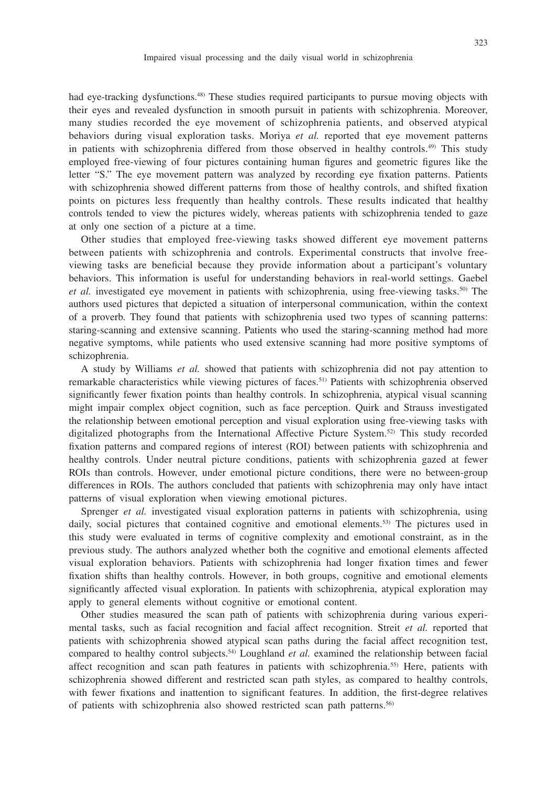had eye-tracking dysfunctions.<sup>48)</sup> These studies required participants to pursue moving objects with their eyes and revealed dysfunction in smooth pursuit in patients with schizophrenia. Moreover, many studies recorded the eye movement of schizophrenia patients, and observed atypical behaviors during visual exploration tasks. Moriya *et al.* reported that eye movement patterns in patients with schizophrenia differed from those observed in healthy controls.<sup>49)</sup> This study employed free-viewing of four pictures containing human figures and geometric figures like the letter "S." The eye movement pattern was analyzed by recording eye fixation patterns. Patients with schizophrenia showed different patterns from those of healthy controls, and shifted fixation points on pictures less frequently than healthy controls. These results indicated that healthy controls tended to view the pictures widely, whereas patients with schizophrenia tended to gaze at only one section of a picture at a time.

Other studies that employed free-viewing tasks showed different eye movement patterns between patients with schizophrenia and controls. Experimental constructs that involve freeviewing tasks are beneficial because they provide information about a participant's voluntary behaviors. This information is useful for understanding behaviors in real-world settings. Gaebel *et al.* investigated eye movement in patients with schizophrenia, using free-viewing tasks.<sup>50)</sup> The authors used pictures that depicted a situation of interpersonal communication, within the context of a proverb. They found that patients with schizophrenia used two types of scanning patterns: staring-scanning and extensive scanning. Patients who used the staring-scanning method had more negative symptoms, while patients who used extensive scanning had more positive symptoms of schizophrenia.

A study by Williams *et al.* showed that patients with schizophrenia did not pay attention to remarkable characteristics while viewing pictures of faces.51) Patients with schizophrenia observed significantly fewer fixation points than healthy controls. In schizophrenia, atypical visual scanning might impair complex object cognition, such as face perception. Quirk and Strauss investigated the relationship between emotional perception and visual exploration using free-viewing tasks with digitalized photographs from the International Affective Picture System.52) This study recorded fixation patterns and compared regions of interest (ROI) between patients with schizophrenia and healthy controls. Under neutral picture conditions, patients with schizophrenia gazed at fewer ROIs than controls. However, under emotional picture conditions, there were no between-group differences in ROIs. The authors concluded that patients with schizophrenia may only have intact patterns of visual exploration when viewing emotional pictures.

Sprenger *et al.* investigated visual exploration patterns in patients with schizophrenia, using daily, social pictures that contained cognitive and emotional elements.<sup>53)</sup> The pictures used in this study were evaluated in terms of cognitive complexity and emotional constraint, as in the previous study. The authors analyzed whether both the cognitive and emotional elements affected visual exploration behaviors. Patients with schizophrenia had longer fixation times and fewer fixation shifts than healthy controls. However, in both groups, cognitive and emotional elements significantly affected visual exploration. In patients with schizophrenia, atypical exploration may apply to general elements without cognitive or emotional content.

Other studies measured the scan path of patients with schizophrenia during various experimental tasks, such as facial recognition and facial affect recognition. Streit *et al.* reported that patients with schizophrenia showed atypical scan paths during the facial affect recognition test, compared to healthy control subjects.54) Loughland *et al.* examined the relationship between facial affect recognition and scan path features in patients with schizophrenia.<sup>55)</sup> Here, patients with schizophrenia showed different and restricted scan path styles, as compared to healthy controls, with fewer fixations and inattention to significant features. In addition, the first-degree relatives of patients with schizophrenia also showed restricted scan path patterns.56)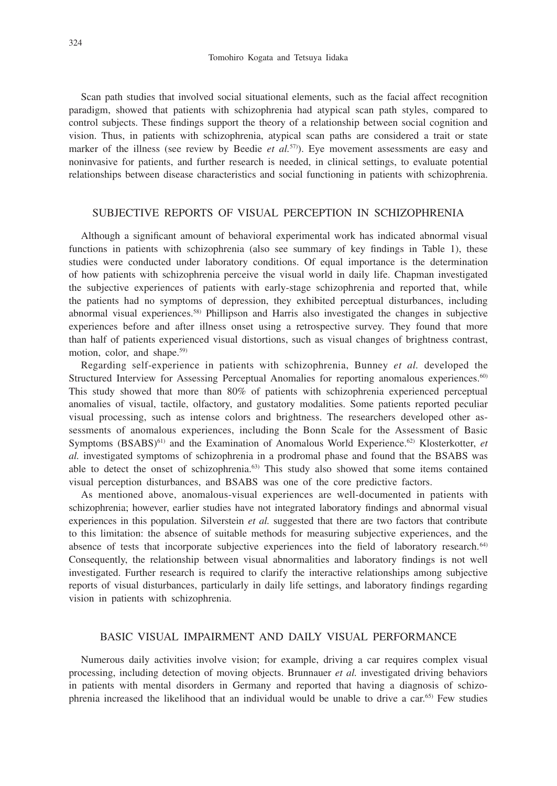Scan path studies that involved social situational elements, such as the facial affect recognition paradigm, showed that patients with schizophrenia had atypical scan path styles, compared to control subjects. These findings support the theory of a relationship between social cognition and vision. Thus, in patients with schizophrenia, atypical scan paths are considered a trait or state marker of the illness (see review by Beedie *et al.*57)). Eye movement assessments are easy and noninvasive for patients, and further research is needed, in clinical settings, to evaluate potential relationships between disease characteristics and social functioning in patients with schizophrenia.

# SUBJECTIVE REPORTS OF VISUAL PERCEPTION IN SCHIZOPHRENIA

Although a significant amount of behavioral experimental work has indicated abnormal visual functions in patients with schizophrenia (also see summary of key findings in Table 1), these studies were conducted under laboratory conditions. Of equal importance is the determination of how patients with schizophrenia perceive the visual world in daily life. Chapman investigated the subjective experiences of patients with early-stage schizophrenia and reported that, while the patients had no symptoms of depression, they exhibited perceptual disturbances, including abnormal visual experiences.58) Phillipson and Harris also investigated the changes in subjective experiences before and after illness onset using a retrospective survey. They found that more than half of patients experienced visual distortions, such as visual changes of brightness contrast, motion, color, and shape.<sup>59)</sup>

Regarding self-experience in patients with schizophrenia, Bunney *et al.* developed the Structured Interview for Assessing Perceptual Anomalies for reporting anomalous experiences.<sup>60)</sup> This study showed that more than 80% of patients with schizophrenia experienced perceptual anomalies of visual, tactile, olfactory, and gustatory modalities. Some patients reported peculiar visual processing, such as intense colors and brightness. The researchers developed other assessments of anomalous experiences, including the Bonn Scale for the Assessment of Basic Symptoms (BSABS)<sup>61)</sup> and the Examination of Anomalous World Experience.<sup>62)</sup> Klosterkotter, *et al.* investigated symptoms of schizophrenia in a prodromal phase and found that the BSABS was able to detect the onset of schizophrenia.<sup>63)</sup> This study also showed that some items contained visual perception disturbances, and BSABS was one of the core predictive factors.

As mentioned above, anomalous-visual experiences are well-documented in patients with schizophrenia; however, earlier studies have not integrated laboratory findings and abnormal visual experiences in this population. Silverstein *et al.* suggested that there are two factors that contribute to this limitation: the absence of suitable methods for measuring subjective experiences, and the absence of tests that incorporate subjective experiences into the field of laboratory research.<sup>64)</sup> Consequently, the relationship between visual abnormalities and laboratory findings is not well investigated. Further research is required to clarify the interactive relationships among subjective reports of visual disturbances, particularly in daily life settings, and laboratory findings regarding vision in patients with schizophrenia.

# BASIC VISUAL IMPAIRMENT AND DAILY VISUAL PERFORMANCE

Numerous daily activities involve vision; for example, driving a car requires complex visual processing, including detection of moving objects. Brunnauer *et al.* investigated driving behaviors in patients with mental disorders in Germany and reported that having a diagnosis of schizophrenia increased the likelihood that an individual would be unable to drive a car.65) Few studies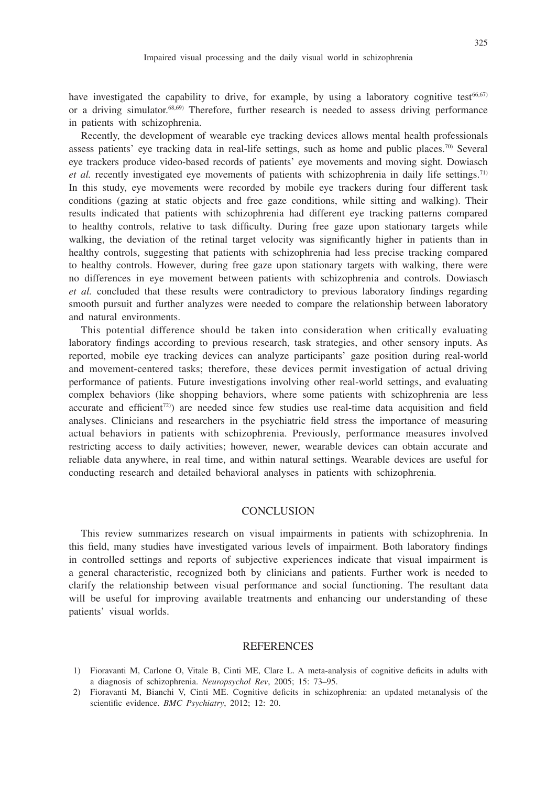have investigated the capability to drive, for example, by using a laboratory cognitive test<sup>66,67)</sup> or a driving simulator.68,69) Therefore, further research is needed to assess driving performance in patients with schizophrenia.

Recently, the development of wearable eye tracking devices allows mental health professionals assess patients' eye tracking data in real-life settings, such as home and public places.70) Several eye trackers produce video-based records of patients' eye movements and moving sight. Dowiasch *et al.* recently investigated eye movements of patients with schizophrenia in daily life settings.71) In this study, eye movements were recorded by mobile eye trackers during four different task conditions (gazing at static objects and free gaze conditions, while sitting and walking). Their results indicated that patients with schizophrenia had different eye tracking patterns compared to healthy controls, relative to task difficulty. During free gaze upon stationary targets while walking, the deviation of the retinal target velocity was significantly higher in patients than in healthy controls, suggesting that patients with schizophrenia had less precise tracking compared to healthy controls. However, during free gaze upon stationary targets with walking, there were no differences in eye movement between patients with schizophrenia and controls. Dowiasch *et al.* concluded that these results were contradictory to previous laboratory findings regarding smooth pursuit and further analyzes were needed to compare the relationship between laboratory and natural environments.

This potential difference should be taken into consideration when critically evaluating laboratory findings according to previous research, task strategies, and other sensory inputs. As reported, mobile eye tracking devices can analyze participants' gaze position during real-world and movement-centered tasks; therefore, these devices permit investigation of actual driving performance of patients. Future investigations involving other real-world settings, and evaluating complex behaviors (like shopping behaviors, where some patients with schizophrenia are less accurate and efficient<sup> $72$ </sup>) are needed since few studies use real-time data acquisition and field analyses. Clinicians and researchers in the psychiatric field stress the importance of measuring actual behaviors in patients with schizophrenia. Previously, performance measures involved restricting access to daily activities; however, newer, wearable devices can obtain accurate and reliable data anywhere, in real time, and within natural settings. Wearable devices are useful for conducting research and detailed behavioral analyses in patients with schizophrenia.

#### **CONCLUSION**

This review summarizes research on visual impairments in patients with schizophrenia. In this field, many studies have investigated various levels of impairment. Both laboratory findings in controlled settings and reports of subjective experiences indicate that visual impairment is a general characteristic, recognized both by clinicians and patients. Further work is needed to clarify the relationship between visual performance and social functioning. The resultant data will be useful for improving available treatments and enhancing our understanding of these patients' visual worlds.

#### REFERENCES

- 1) Fioravanti M, Carlone O, Vitale B, Cinti ME, Clare L. A meta-analysis of cognitive deficits in adults with a diagnosis of schizophrenia. *Neuropsychol Rev*, 2005; 15: 73–95.
- 2) Fioravanti M, Bianchi V, Cinti ME. Cognitive deficits in schizophrenia: an updated metanalysis of the scientific evidence. *BMC Psychiatry*, 2012; 12: 20.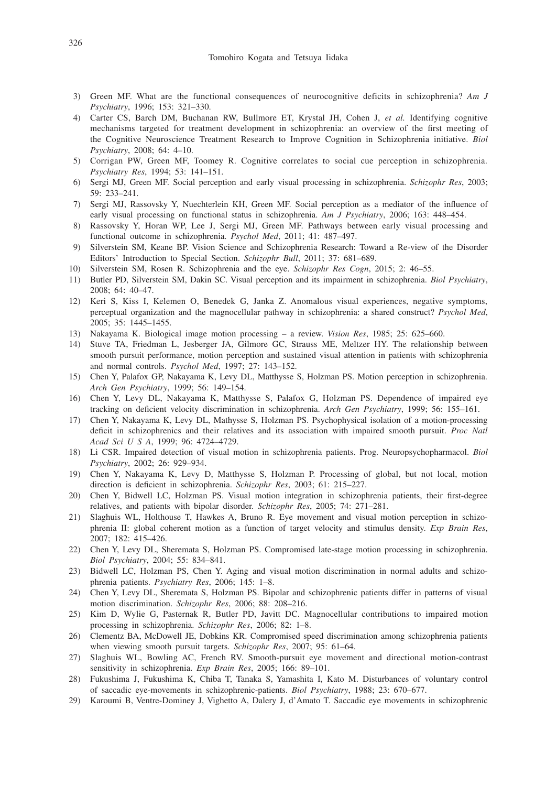- 3) Green MF. What are the functional consequences of neurocognitive deficits in schizophrenia? *Am J Psychiatry*, 1996; 153: 321–330.
- 4) Carter CS, Barch DM, Buchanan RW, Bullmore ET, Krystal JH, Cohen J, *et al.* Identifying cognitive mechanisms targeted for treatment development in schizophrenia: an overview of the first meeting of the Cognitive Neuroscience Treatment Research to Improve Cognition in Schizophrenia initiative. *Biol Psychiatry*, 2008; 64: 4–10.
- 5) Corrigan PW, Green MF, Toomey R. Cognitive correlates to social cue perception in schizophrenia. *Psychiatry Res*, 1994; 53: 141–151.
- 6) Sergi MJ, Green MF. Social perception and early visual processing in schizophrenia. *Schizophr Res*, 2003; 59: 233–241.
- 7) Sergi MJ, Rassovsky Y, Nuechterlein KH, Green MF. Social perception as a mediator of the influence of early visual processing on functional status in schizophrenia. *Am J Psychiatry*, 2006; 163: 448–454.
- 8) Rassovsky Y, Horan WP, Lee J, Sergi MJ, Green MF. Pathways between early visual processing and functional outcome in schizophrenia. *Psychol Med*, 2011; 41: 487–497.
- 9) Silverstein SM, Keane BP. Vision Science and Schizophrenia Research: Toward a Re-view of the Disorder Editors' Introduction to Special Section. *Schizophr Bull*, 2011; 37: 681–689.
- 10) Silverstein SM, Rosen R. Schizophrenia and the eye. *Schizophr Res Cogn*, 2015; 2: 46–55.
- 11) Butler PD, Silverstein SM, Dakin SC. Visual perception and its impairment in schizophrenia. *Biol Psychiatry*, 2008; 64: 40–47.
- 12) Keri S, Kiss I, Kelemen O, Benedek G, Janka Z. Anomalous visual experiences, negative symptoms, perceptual organization and the magnocellular pathway in schizophrenia: a shared construct? *Psychol Med*, 2005; 35: 1445–1455.
- 13) Nakayama K. Biological image motion processing a review. *Vision Res*, 1985; 25: 625–660.
- 14) Stuve TA, Friedman L, Jesberger JA, Gilmore GC, Strauss ME, Meltzer HY. The relationship between smooth pursuit performance, motion perception and sustained visual attention in patients with schizophrenia and normal controls. *Psychol Med*, 1997; 27: 143–152.
- 15) Chen Y, Palafox GP, Nakayama K, Levy DL, Matthysse S, Holzman PS. Motion perception in schizophrenia. *Arch Gen Psychiatry*, 1999; 56: 149–154.
- 16) Chen Y, Levy DL, Nakayama K, Matthysse S, Palafox G, Holzman PS. Dependence of impaired eye tracking on deficient velocity discrimination in schizophrenia. *Arch Gen Psychiatry*, 1999; 56: 155–161.
- 17) Chen Y, Nakayama K, Levy DL, Mathysse S, Holzman PS. Psychophysical isolation of a motion-processing deficit in schizophrenics and their relatives and its association with impaired smooth pursuit. *Proc Natl Acad Sci U S A*, 1999; 96: 4724–4729.
- 18) Li CSR. Impaired detection of visual motion in schizophrenia patients. Prog. Neuropsychopharmacol. *Biol Psychiatry*, 2002; 26: 929–934.
- 19) Chen Y, Nakayama K, Levy D, Matthysse S, Holzman P. Processing of global, but not local, motion direction is deficient in schizophrenia. *Schizophr Res*, 2003; 61: 215–227.
- 20) Chen Y, Bidwell LC, Holzman PS. Visual motion integration in schizophrenia patients, their first-degree relatives, and patients with bipolar disorder. *Schizophr Res*, 2005; 74: 271–281.
- 21) Slaghuis WL, Holthouse T, Hawkes A, Bruno R. Eye movement and visual motion perception in schizophrenia II: global coherent motion as a function of target velocity and stimulus density. *Exp Brain Res*, 2007; 182: 415–426.
- 22) Chen Y, Levy DL, Sheremata S, Holzman PS. Compromised late-stage motion processing in schizophrenia. *Biol Psychiatry*, 2004; 55: 834–841.
- 23) Bidwell LC, Holzman PS, Chen Y. Aging and visual motion discrimination in normal adults and schizophrenia patients. *Psychiatry Res*, 2006; 145: 1–8.
- 24) Chen Y, Levy DL, Sheremata S, Holzman PS. Bipolar and schizophrenic patients differ in patterns of visual motion discrimination. *Schizophr Res*, 2006; 88: 208–216.
- 25) Kim D, Wylie G, Pasternak R, Butler PD, Javitt DC. Magnocellular contributions to impaired motion processing in schizophrenia. *Schizophr Res*, 2006; 82: 1–8.
- 26) Clementz BA, McDowell JE, Dobkins KR. Compromised speed discrimination among schizophrenia patients when viewing smooth pursuit targets. *Schizophr Res*, 2007; 95: 61–64.
- 27) Slaghuis WL, Bowling AC, French RV. Smooth-pursuit eye movement and directional motion-contrast sensitivity in schizophrenia. *Exp Brain Res*, 2005; 166: 89–101.
- 28) Fukushima J, Fukushima K, Chiba T, Tanaka S, Yamashita I, Kato M. Disturbances of voluntary control of saccadic eye-movements in schizophrenic-patients. *Biol Psychiatry*, 1988; 23: 670–677.
- 29) Karoumi B, Ventre-Dominey J, Vighetto A, Dalery J, d'Amato T. Saccadic eye movements in schizophrenic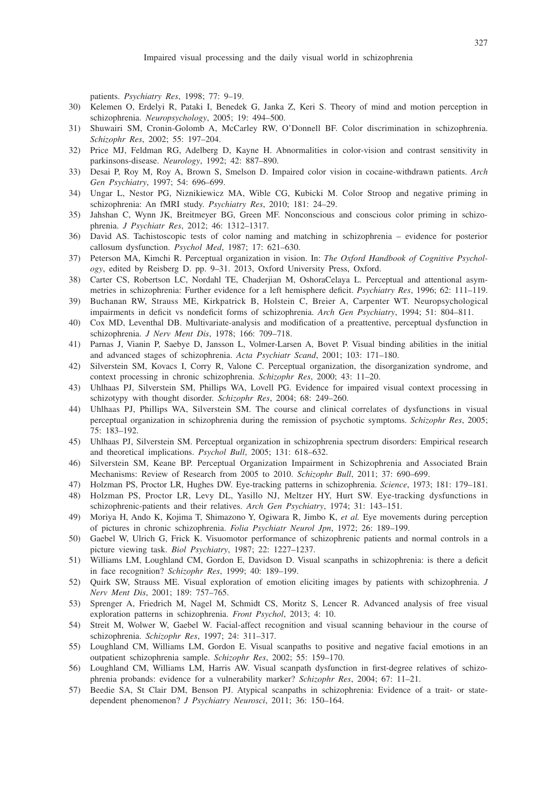patients. *Psychiatry Res*, 1998; 77: 9–19.

- 30) Kelemen O, Erdelyi R, Pataki I, Benedek G, Janka Z, Keri S. Theory of mind and motion perception in schizophrenia. *Neuropsychology*, 2005; 19: 494–500.
- 31) Shuwairi SM, Cronin-Golomb A, McCarley RW, O'Donnell BF. Color discrimination in schizophrenia. *Schizophr Res*, 2002; 55: 197–204.
- 32) Price MJ, Feldman RG, Adelberg D, Kayne H. Abnormalities in color-vision and contrast sensitivity in parkinsons-disease. *Neurology*, 1992; 42: 887–890.
- 33) Desai P, Roy M, Roy A, Brown S, Smelson D. Impaired color vision in cocaine-withdrawn patients. *Arch Gen Psychiatry*, 1997; 54: 696–699.
- 34) Ungar L, Nestor PG, Niznikiewicz MA, Wible CG, Kubicki M. Color Stroop and negative priming in schizophrenia: An fMRI study. *Psychiatry Res*, 2010; 181: 24–29.
- 35) Jahshan C, Wynn JK, Breitmeyer BG, Green MF. Nonconscious and conscious color priming in schizophrenia. *J Psychiatr Res*, 2012; 46: 1312–1317.
- 36) David AS. Tachistoscopic tests of color naming and matching in schizophrenia evidence for posterior callosum dysfunction. *Psychol Med*, 1987; 17: 621–630.
- 37) Peterson MA, Kimchi R. Perceptual organization in vision. In: *The Oxford Handbook of Cognitive Psychology*, edited by Reisberg D. pp. 9–31. 2013, Oxford University Press, Oxford.
- 38) Carter CS, Robertson LC, Nordahl TE, Chaderjian M, OshoraCelaya L. Perceptual and attentional asymmetries in schizophrenia: Further evidence for a left hemisphere deficit. *Psychiatry Res*, 1996; 62: 111–119.
- 39) Buchanan RW, Strauss ME, Kirkpatrick B, Holstein C, Breier A, Carpenter WT. Neuropsychological impairments in deficit vs nondeficit forms of schizophrenia. *Arch Gen Psychiatry*, 1994; 51: 804–811.
- 40) Cox MD, Leventhal DB. Multivariate-analysis and modification of a preattentive, perceptual dysfunction in schizophrenia. *J Nerv Ment Dis*, 1978; 166: 709–718.
- 41) Parnas J, Vianin P, Saebye D, Jansson L, Volmer-Larsen A, Bovet P. Visual binding abilities in the initial and advanced stages of schizophrenia. *Acta Psychiatr Scand*, 2001; 103: 171–180.
- 42) Silverstein SM, Kovacs I, Corry R, Valone C. Perceptual organization, the disorganization syndrome, and context processing in chronic schizophrenia. *Schizophr Res*, 2000; 43: 11–20.
- 43) Uhlhaas PJ, Silverstein SM, Phillips WA, Lovell PG. Evidence for impaired visual context processing in schizotypy with thought disorder. *Schizophr Res*, 2004; 68: 249–260.
- 44) Uhlhaas PJ, Phillips WA, Silverstein SM. The course and clinical correlates of dysfunctions in visual perceptual organization in schizophrenia during the remission of psychotic symptoms. *Schizophr Res*, 2005; 75: 183–192.
- 45) Uhlhaas PJ, Silverstein SM. Perceptual organization in schizophrenia spectrum disorders: Empirical research and theoretical implications. *Psychol Bull*, 2005; 131: 618–632.
- 46) Silverstein SM, Keane BP. Perceptual Organization Impairment in Schizophrenia and Associated Brain Mechanisms: Review of Research from 2005 to 2010. *Schizophr Bull*, 2011; 37: 690–699.
- 47) Holzman PS, Proctor LR, Hughes DW. Eye-tracking patterns in schizophrenia. *Science*, 1973; 181: 179–181.
- 48) Holzman PS, Proctor LR, Levy DL, Yasillo NJ, Meltzer HY, Hurt SW. Eye-tracking dysfunctions in schizophrenic-patients and their relatives. *Arch Gen Psychiatry*, 1974; 31: 143–151.
- 49) Moriya H, Ando K, Kojima T, Shimazono Y, Ogiwara R, Jimbo K, *et al.* Eye movements during perception of pictures in chronic schizophrenia. *Folia Psychiatr Neurol Jpn*, 1972; 26: 189–199.
- 50) Gaebel W, Ulrich G, Frick K. Visuomotor performance of schizophrenic patients and normal controls in a picture viewing task. *Biol Psychiatry*, 1987; 22: 1227–1237.
- 51) Williams LM, Loughland CM, Gordon E, Davidson D. Visual scanpaths in schizophrenia: is there a deficit in face recognition? *Schizophr Res*, 1999; 40: 189–199.
- 52) Quirk SW, Strauss ME. Visual exploration of emotion eliciting images by patients with schizophrenia. *J Nerv Ment Dis*, 2001; 189: 757–765.
- 53) Sprenger A, Friedrich M, Nagel M, Schmidt CS, Moritz S, Lencer R. Advanced analysis of free visual exploration patterns in schizophrenia. *Front Psychol*, 2013; 4: 10.
- 54) Streit M, Wolwer W, Gaebel W. Facial-affect recognition and visual scanning behaviour in the course of schizophrenia. *Schizophr Res*, 1997; 24: 311–317.
- 55) Loughland CM, Williams LM, Gordon E. Visual scanpaths to positive and negative facial emotions in an outpatient schizophrenia sample. *Schizophr Res*, 2002; 55: 159–170.
- 56) Loughland CM, Williams LM, Harris AW. Visual scanpath dysfunction in first-degree relatives of schizophrenia probands: evidence for a vulnerability marker? *Schizophr Res*, 2004; 67: 11–21.
- 57) Beedie SA, St Clair DM, Benson PJ. Atypical scanpaths in schizophrenia: Evidence of a trait- or statedependent phenomenon? *J Psychiatry Neurosci*, 2011; 36: 150–164.